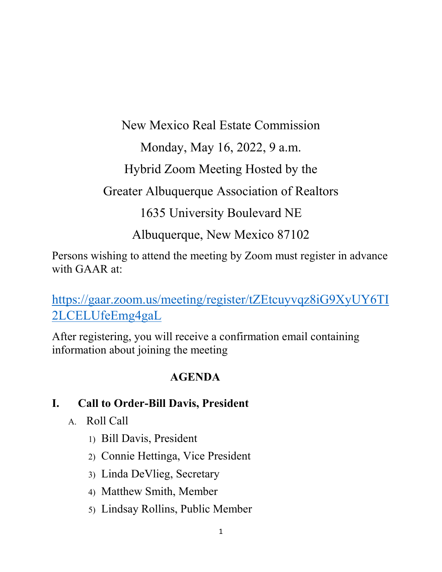New Mexico Real Estate Commission

Monday, May 16, 2022, 9 a.m.

Hybrid Zoom Meeting Hosted by the

Greater Albuquerque Association of Realtors

1635 University Boulevard NE

Albuquerque, New Mexico 87102

Persons wishing to attend the meeting by Zoom must register in advance with GAAR at:

[https://gaar.zoom.us/meeting/register/tZEtcuyvqz8iG9XyUY6TI](https://gcc02.safelinks.protection.outlook.com/?url=https%3A%2F%2Fgaar.zoom.us%2Fmeeting%2Fregister%2FtZEtcuyvqz8iG9XyUY6TI2LCELUfeEmg4gaL&data=05%7C01%7CWayne.Ciddio%40state.nm.us%7C9a882a0acf654c53a4e508da2e1061ec%7C04aa6bf4d436426fbfa404b7a70e60ff%7C0%7C0%7C637872945158230181%7CUnknown%7CTWFpbGZsb3d8eyJWIjoiMC4wLjAwMDAiLCJQIjoiV2luMzIiLCJBTiI6Ik1haWwiLCJXVCI6Mn0%3D%7C3000%7C%7C%7C&sdata=i%2B0irQGPH91mj8QxsHKZIwPZDnDq0QUqhxPAQwScGcw%3D&reserved=0) [2LCELUfeEmg4gaL](https://gcc02.safelinks.protection.outlook.com/?url=https%3A%2F%2Fgaar.zoom.us%2Fmeeting%2Fregister%2FtZEtcuyvqz8iG9XyUY6TI2LCELUfeEmg4gaL&data=05%7C01%7CWayne.Ciddio%40state.nm.us%7C9a882a0acf654c53a4e508da2e1061ec%7C04aa6bf4d436426fbfa404b7a70e60ff%7C0%7C0%7C637872945158230181%7CUnknown%7CTWFpbGZsb3d8eyJWIjoiMC4wLjAwMDAiLCJQIjoiV2luMzIiLCJBTiI6Ik1haWwiLCJXVCI6Mn0%3D%7C3000%7C%7C%7C&sdata=i%2B0irQGPH91mj8QxsHKZIwPZDnDq0QUqhxPAQwScGcw%3D&reserved=0)

After registering, you will receive a confirmation email containing information about joining the meeting

#### **AGENDA**

#### **I. Call to Order-Bill Davis, President**

- A. Roll Call
	- 1) Bill Davis, President
	- 2) Connie Hettinga, Vice President
	- 3) Linda DeVlieg, Secretary
	- 4) Matthew Smith, Member
	- 5) Lindsay Rollins, Public Member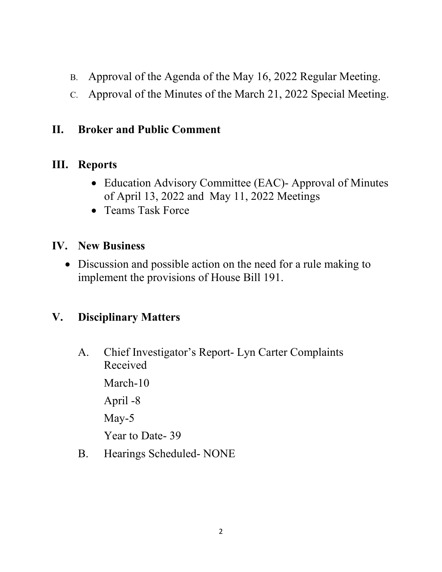- B. Approval of the Agenda of the May 16, 2022 Regular Meeting.
- C. Approval of the Minutes of the March 21, 2022 Special Meeting.

#### **II. Broker and Public Comment**

## **III. Reports**

- Education Advisory Committee (EAC)- Approval of Minutes of April 13, 2022 and May 11, 2022 Meetings
- Teams Task Force

## **IV. New Business**

• Discussion and possible action on the need for a rule making to implement the provisions of House Bill 191.

# **V. Disciplinary Matters**

A. Chief Investigator's Report- Lyn Carter Complaints Received

March-10

April -8

May-5

Year to Date- 39

B. Hearings Scheduled- NONE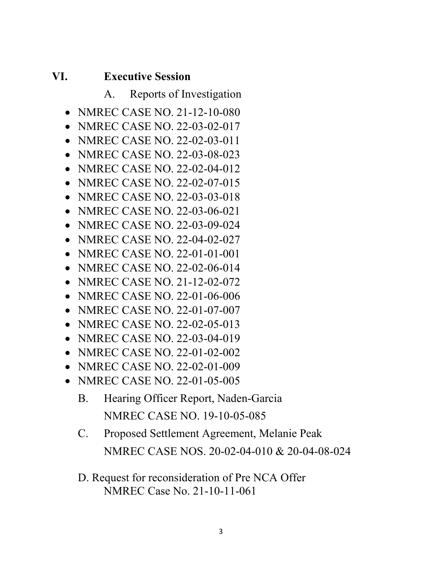#### **VI. Executive Session**

- A. Reports of Investigation
- NMREC CASE NO. 21-12-10-080
- NMREC CASE NO. 22-03-02-017
- NMREC CASE NO. 22-02-03-011
- NMREC CASE NO. 22-03-08-023
- NMREC CASE NO. 22-02-04-012
- NMREC CASE NO. 22-02-07-015
- NMREC CASE NO. 22-03-03-018
- NMREC CASE NO. 22-03-06-021
- NMREC CASE NO. 22-03-09-024
- NMREC CASE NO. 22-04-02-027
- NMREC CASE NO. 22-01-01-001
- NMREC CASE NO. 22-02-06-014
- NMREC CASE NO. 21-12-02-072
- NMREC CASE NO. 22-01-06-006
- NMREC CASE NO. 22-01-07-007
- NMREC CASE NO. 22-02-05-013
- NMREC CASE NO. 22-03-04-019
- NMREC CASE NO. 22-01-02-002
- NMREC CASE NO. 22-02-01-009
- NMREC CASE NO. 22-01-05-005
	- B. Hearing Officer Report, Naden-Garcia NMREC CASE NO. 19-10-05-085
	- C. Proposed Settlement Agreement, Melanie Peak NMREC CASE NOS. 20-02-04-010 & 20-04-08-024
	- D. Request for reconsideration of Pre NCA Offer NMREC Case No. 21-10-11-061